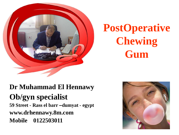

# **PostOperative Chewing Gum**

#### **Dr Muhammad El Hennawy Ob/gyn specialist 59 Street - Rass el barr –dumyat - egypt www.drhennawy.8m.com Mobile 0122503011**

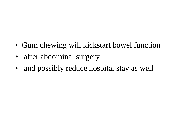- Gum chewing will kickstart bowel function
- after abdominal surgery
- and possibly reduce hospital stay as well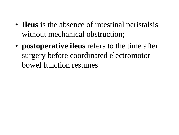- **Ileus** is the absence of intestinal peristalsis without mechanical obstruction;
- **postoperative ileus** refers to the time after surgery before coordinated electromotor bowel function resumes.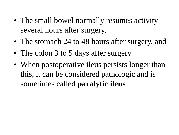- The small bowel normally resumes activity several hours after surgery,
- The stomach 24 to 48 hours after surgery, and
- The colon 3 to 5 days after surgery.
- When postoperative ileus persists longer than this, it can be considered pathologic and is sometimes called **paralytic ileus**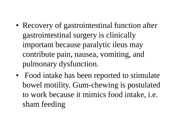- Recovery of gastrointestinal function after gastrointestinal surgery is clinically important because paralytic ileus may contribute pain, nausea, vomiting, and pulmonary dysfunction.
- Food intake has been reported to stimulate bowel motility. Gum-chewing is postulated to work because it mimics food intake, i.e. sham feeding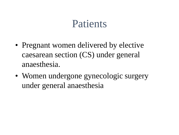#### Patients

- Pregnant women delivered by elective caesarean section (CS) under general anaesthesia.
- Women undergone gynecologic surgery under general anaesthesia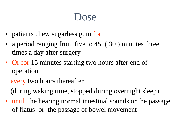### Dose

- patients chew sugarless gum for
- a period ranging from five to 45 (30) minutes three times a day after surgery
- Or for 15 minutes starting two hours after end of operation

every two hours thereafter

(during waking time, stopped during overnight sleep)

• until the hearing normal intestinal sounds or the passage of flatus or the passage of bowel movement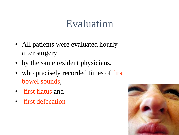### Evaluation

- All patients were evaluated hourly after surgery
- by the same resident physicians,
- who precisely recorded times of first bowel sounds,
- first flatus and
- first defecation

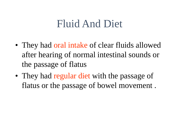# Fluid And Diet

- They had oral intake of clear fluids allowed after hearing of normal intestinal sounds or the passage of flatus
- They had regular diet with the passage of flatus or the passage of bowel movement .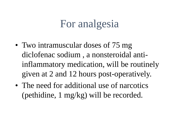# For analgesia

- Two intramuscular doses of 75 mg diclofenac sodium , a nonsteroidal antiinflammatory medication, will be routinely given at 2 and 12 hours post-operatively.
- The need for additional use of narcotics (pethidine, 1 mg/kg) will be recorded.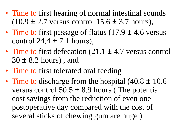- Time to first hearing of normal intestinal sounds  $(10.9 \pm 2.7 \text{ versus control } 15.6 \pm 3.7 \text{ hours})$ ,
- Time to first passage of flatus  $(17.9 \pm 4.6 \text{ versus}$ control  $24.4 \pm 7.1$  hours),
- Time to first defecation  $(21.1 \pm 4.7 \text{ versus control})$ 30 ± 8.2 hours) , and
- Time to first tolerated oral feeding
- Time to discharge from the hospital  $(40.8 \pm 10.6)$ versus control  $50.5 \pm 8.9$  hours (The potential cost savings from the reduction of even one postoperative day compared with the cost of several sticks of chewing gum are huge )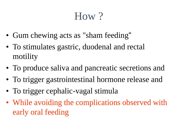# How ?

- Gum chewing acts as "sham feeding"
- To stimulates gastric, duodenal and rectal motility
- To produce saliva and pancreatic secretions and
- To trigger gastrointestinal hormone release and
- To trigger cephalic-vagal stimula
- While avoiding the complications observed with early oral feeding